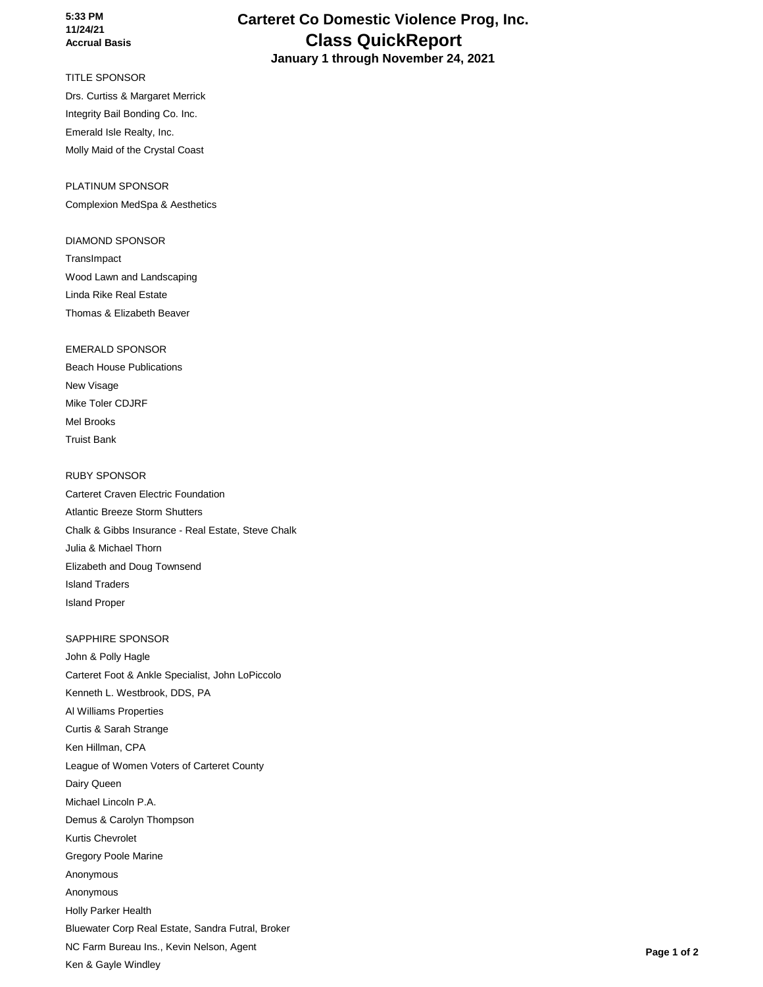#### **5:33 PM 11/24/21 Accrual Basis**

### TITLE SPONSOR

Drs. Curtiss & Margaret Merrick Integrity Bail Bonding Co. Inc. Emerald Isle Realty, Inc. Molly Maid of the Crystal Coast

PLATINUM SPONSOR Complexion MedSpa & Aesthetics

#### DIAMOND SPONSOR

**TransImpact** Wood Lawn and Landscaping Linda Rike Real Estate Thomas & Elizabeth Beaver

EMERALD SPONSOR Beach House Publications New Visage Mike Toler CDJRF Mel Brooks Truist Bank

#### RUBY SPONSOR

Carteret Craven Electric Foundation Atlantic Breeze Storm Shutters Chalk & Gibbs Insurance - Real Estate, Steve Chalk Julia & Michael Thorn Elizabeth and Doug Townsend Island Traders Island Proper

#### SAPPHIRE SPONSOR

John & Polly Hagle Carteret Foot & Ankle Specialist, John LoPiccolo Kenneth L. Westbrook, DDS, PA Al Williams Properties Curtis & Sarah Strange Ken Hillman, CPA League of Women Voters of Carteret County Dairy Queen Michael Lincoln P.A. Demus & Carolyn Thompson Kurtis Chevrolet Gregory Poole Marine Anonymous Anonymous Holly Parker Health Bluewater Corp Real Estate, Sandra Futral, Broker NC Farm Bureau Ins., Kevin Nelson, Agent Ken & Gayle Windley

# **Carteret Co Domestic Violence Prog, Inc. Class QuickReport**

 **January 1 through November 24, 2021**